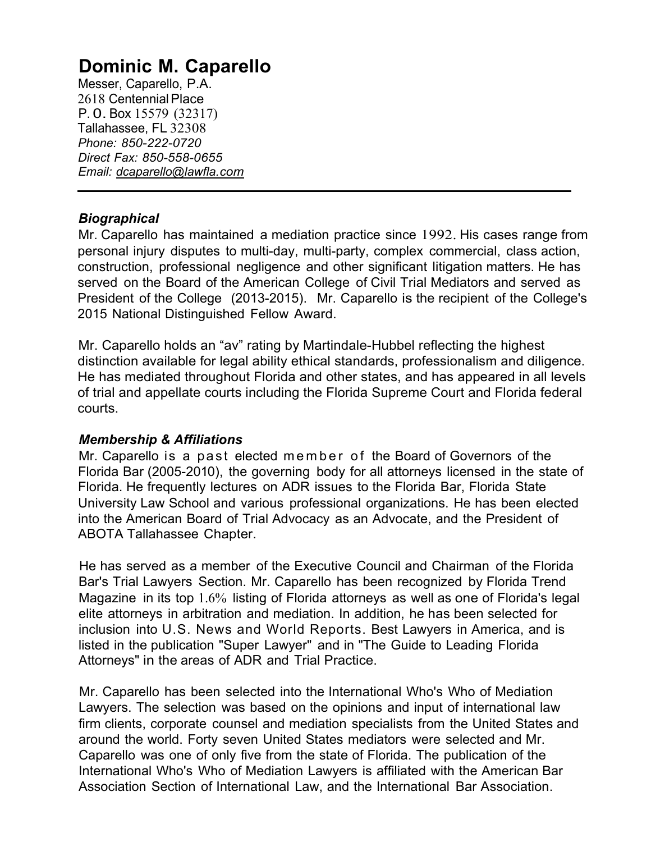# **Dominic M. Caparello**

Messer, Caparello, P.A. 2618 Centennial Place P. 0. Box 15579 (32317) Tallahassee, FL 32308 *Phone: 850-222-0720 Direct Fax: 850-558-0655 Email: [dcaparello@lawfla.com](mailto:dcaparello@lawfla.com)*

# *Biographical*

Mr. Caparello has maintained a mediation practice since 1992. His cases range from personal injury disputes to multi-day, multi-party, complex commercial, class action, construction, professional negligence and other significant litigation matters. He has served on the Board of the American College of Civil Trial Mediators and served as President of the College (2013-2015). Mr. Caparello is the recipient of the College's 2015 National Distinguished Fellow Award.

Mr. Caparello holds an "av" rating by Martindale-Hubbel reflecting the highest distinction available for legal ability ethical standards, professionalism and diligence. He has mediated throughout Florida and other states, and has appeared in all levels of trial and appellate courts including the Florida Supreme Court and Florida federal courts.

# *Membership & Affiliations*

Mr. Caparello is a past elected member of the Board of Governors of the Florida Bar (2005-2010), the governing body for all attorneys licensed in the state of Florida. He frequently lectures on ADR issues to the Florida Bar, Florida State University Law School and various professional organizations. He has been elected into the American Board of Trial Advocacy as an Advocate, and the President of ABOTA Tallahassee Chapter.

He has served as a member of the Executive Council and Chairman of the Florida Bar's Trial Lawyers Section. Mr. Caparello has been recognized by Florida Trend Magazine in its top 1.6% listing of Florida attorneys as well as one of Florida's legal elite attorneys in arbitration and mediation. In addition, he has been selected for inclusion into U.S. News and World Reports. Best Lawyers in America, and is listed in the publication "Super Lawyer" and in "The Guide to Leading Florida Attorneys" in the areas of ADR and Trial Practice.

Mr. Caparello has been selected into the International Who's Who of Mediation Lawyers. The selection was based on the opinions and input of international law firm clients, corporate counsel and mediation specialists from the United States and around the world. Forty seven United States mediators were selected and Mr. Caparello was one of only five from the state of Florida. The publication of the International Who's Who of Mediation Lawyers is affiliated with the American Bar Association Section of International Law, and the International Bar Association.